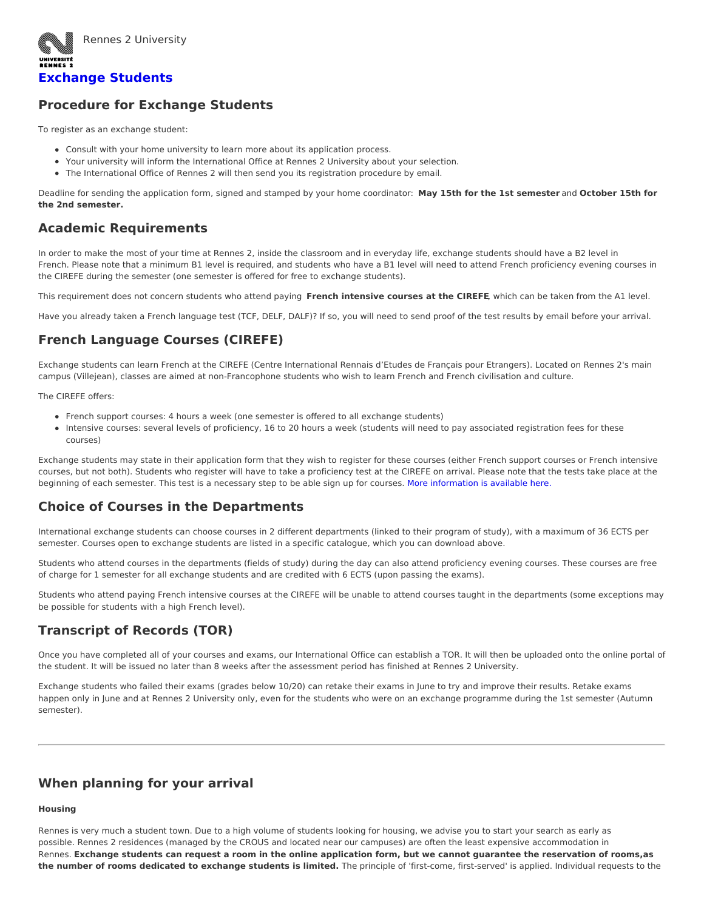

Rennes 2 University

# **[Exchange](https://international.univ-rennes2.fr/studying/exchange-students) Students**

## **Procedure for Exchange Students**

To register as an exchange student:

- Consult with your home university to learn more about its application process.
- Your university will inform the International Office at Rennes 2 University about your selection.
- The International Office of Rennes 2 will then send you its registration procedure by email.

Deadline for sending the application form, signed and stamped by your home coordinator: **May 15th for the 1st semester** and **October 15th for the 2nd semester.**

## **Academic Requirements**

In order to make the most of your time at Rennes 2, inside the classroom and in everyday life, exchange students should have a B2 level in French. Please note that a minimum B1 level is required, and students who have a B1 level will need to attend French proficiency evening courses in the CIREFE during the semester (one semester is offered for free to exchange students).

This requirement does not concern students who attend paying **French intensive courses at the CIREFE**, which can be taken from the A1 level.

Have you already taken a French language test (TCF, DELF, DALF)? If so, you will need to send proof of the test results by email before your arrival.

# **French Language Courses (CIREFE)**

Exchange students can learn French at the CIREFE (Centre International Rennais d'Etudes de Français pour Etrangers). Located on Rennes 2's main campus (Villejean), classes are aimed at non-Francophone students who wish to learn French and French civilisation and culture.

The CIREFE offers:

- French support courses: 4 hours a week (one semester is offered to all exchange students)
- Intensive courses: several levels of proficiency, 16 to 20 hours a week (students will need to pay associated registration fees for these courses)

Exchange students may state in their application form that they wish to register for these courses (either French support courses or French intensive courses, but not both). Students who register will have to take a proficiency test at the CIREFE on arrival. Please note that the tests take place at the beginning of each semester. This test is a necessary step to be able sign up for courses. More [information](https://sites-formations.univ-rennes2.fr/cirefe/en/) is available here.

## **Choice of Courses in the Departments**

International exchange students can choose courses in 2 different departments (linked to their program of study), with a maximum of 36 ECTS per semester. Courses open to exchange students are listed in a specific catalogue, which you can download above.

Students who attend courses in the departments (fields of study) during the day can also attend proficiency evening courses. These courses are free of charge for 1 semester for all exchange students and are credited with 6 ECTS (upon passing the exams).

Students who attend paying French intensive courses at the CIREFE will be unable to attend courses taught in the departments (some exceptions may be possible for students with a high French level).

# **Transcript of Records (TOR)**

Once you have completed all of your courses and exams, our International Office can establish a TOR. It will then be uploaded onto the online portal of the student. It will be issued no later than 8 weeks after the assessment period has finished at Rennes 2 University.

Exchange students who failed their exams (grades below 10/20) can retake their exams in June to try and improve their results. Retake exams happen only in June and at Rennes 2 University only, even for the students who were on an exchange programme during the 1st semester (Autumn semester).

# **When planning for your arrival**

### **Housing**

Rennes is very much a student town. Due to a high volume of students looking for housing, we advise you to start your search as early as possible. Rennes 2 residences (managed by the CROUS and located near our campuses) are often the least expensive accommodation in Rennes. Exchange students can request a room in the online application form, but we cannot guarantee the reservation of rooms, as **the number of rooms dedicated to exchange students is limited.** The principle of 'first-come, first-served' is applied. Individual requests to the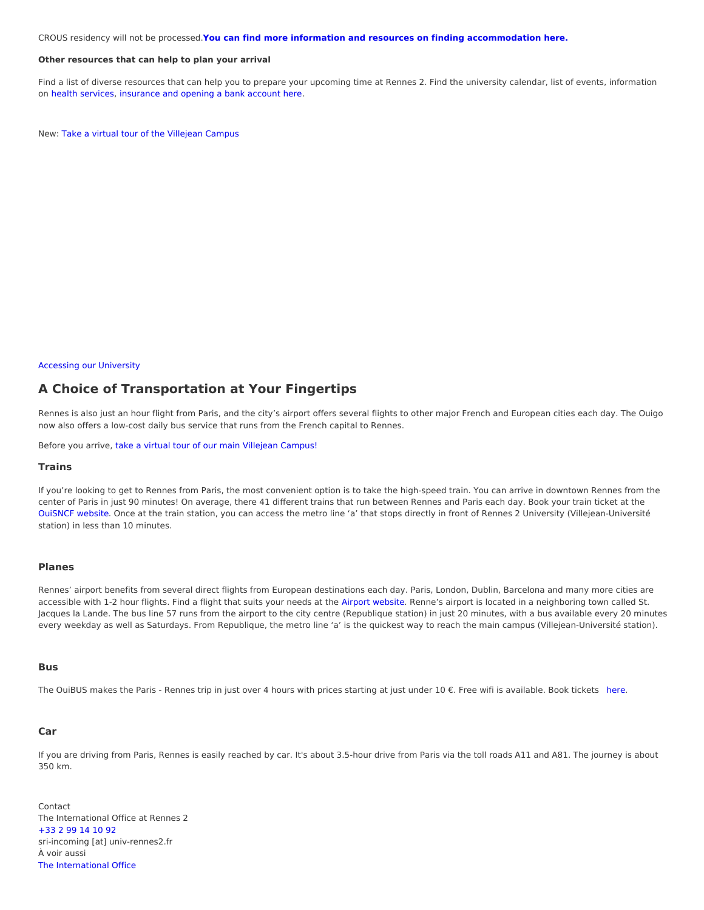CROUS residency will not be processed.**You can find more information and resources on finding [accommodation](https://international.univ-rennes2.fr/index.php/campus-life/university-housing) here.**

#### **Other resources that can help to plan your arrival**

Find a list of diverse resources that can help you to prepare your upcoming time at Rennes 2. Find the university calendar, list of events, information on health [services](https://international.univ-rennes2.fr/campus-life/health-safety), [insurance](https://international.univ-rennes2.fr/about/your-arrival-rennes-2) and opening a bank account here.

New: Take a virtual tour of the [Villejean](https://learnalign-france.h5p.com/content/1291475688281869777) Campus

#### Accessing our University

## **A Choice of Transportation at Your Fingertips**

Rennes is also just an hour flight from Paris, and the city's airport offers several flights to other major French and European cities each day. The Ouigo now also offers a low-cost daily bus service that runs from the French capital to Rennes.

Before you arrive, take a virtual tour of our main Villejean [Campus!](https://learnalign-france.h5p.com/content/1291475688281869777)

### **Trains**

If you're looking to get to Rennes from Paris, the most convenient option is to take the high-speed train. You can arrive in downtown Rennes from the center of Paris in just 90 minutes! On average, there 41 different trains that run between Rennes and Paris each day. Book your train ticket at the [OuiSNCF](https://en.oui.sncf/en/) website. Once at the train station, you can access the metro line 'a' that stops directly in front of Rennes 2 University (Villejean-Université station) in less than 10 minutes.

### **Planes**

Rennes' airport benefits from several direct flights from European destinations each day. Paris, London, Dublin, Barcelona and many more cities are accessible with 1-2 hour flights. Find a flight that suits your needs at the Airport [website](https://www.rennes.aeroport.fr/en). Renne's airport is located in a neighboring town called St. Jacques la Lande. The bus line 57 runs from the airport to the city centre (Republique station) in just 20 minutes, with a bus available every 20 minutes every weekday as well as Saturdays. From Republique, the metro line 'a' is the quickest way to reach the main campus (Villejean-Université station).

#### **Bus**

The OuiBUS makes the Paris - Rennes trip in just over 4 hours with prices starting at just under 10 €. Free wifi is available. Book tickets [here](https://en.oui.sncf/en/).

### **Car**

If you are driving from Paris, Rennes is easily reached by car. It's about 3.5-hour drive from Paris via the toll roads A11 and A81. The journey is about 350 km.

Contact The International Office at Rennes 2 [+33](tel:%252B33299141092) 2 99 14 10 92 sri-incoming [at] univ-rennes2.fr À voir aussi The [International](https://international.univ-rennes2.fr/about/international-offer) Office